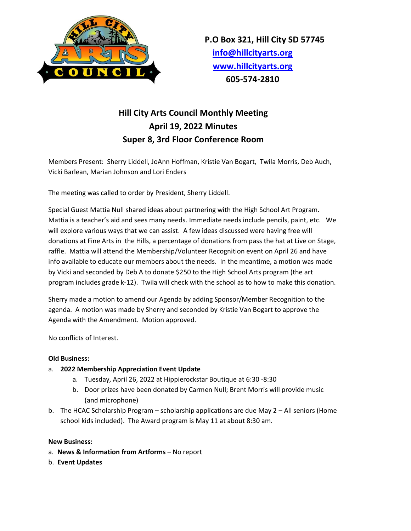

# **Hill City Arts Council Monthly Meeting April 19, 2022 Minutes Super 8, 3rd Floor Conference Room**

Members Present: Sherry Liddell, JoAnn Hoffman, Kristie Van Bogart, Twila Morris, Deb Auch, Vicki Barlean, Marian Johnson and Lori Enders

The meeting was called to order by President, Sherry Liddell.

Special Guest Mattia Null shared ideas about partnering with the High School Art Program. Mattia is a teacher's aid and sees many needs. Immediate needs include pencils, paint, etc. We will explore various ways that we can assist. A few ideas discussed were having free will donations at Fine Arts in the Hills, a percentage of donations from pass the hat at Live on Stage, raffle. Mattia will attend the Membership/Volunteer Recognition event on April 26 and have info available to educate our members about the needs. In the meantime, a motion was made by Vicki and seconded by Deb A to donate \$250 to the High School Arts program (the art program includes grade k-12). Twila will check with the school as to how to make this donation.

Sherry made a motion to amend our Agenda by adding Sponsor/Member Recognition to the agenda. A motion was made by Sherry and seconded by Kristie Van Bogart to approve the Agenda with the Amendment. Motion approved.

No conflicts of Interest.

## **Old Business:**

## a. **2022 Membership Appreciation Event Update**

- a. Tuesday, April 26, 2022 at Hippierockstar Boutique at 6:30 -8:30
- b. Door prizes have been donated by Carmen Null; Brent Morris will provide music (and microphone)
- b. The HCAC Scholarship Program scholarship applications are due May 2 All seniors (Home school kids included). The Award program is May 11 at about 8:30 am.

### **New Business:**

- a. **News & Information from Artforms –** No report
- b. **Event Updates**